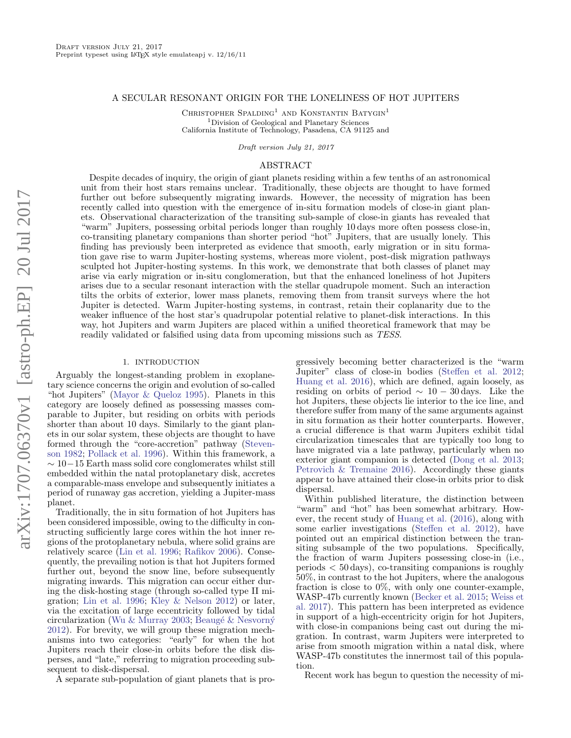## A SECULAR RESONANT ORIGIN FOR THE LONELINESS OF HOT JUPITERS

CHRISTOPHER SPALDING<sup>1</sup> AND KONSTANTIN BATYGIN<sup>1</sup> <sup>1</sup>Division of Geological and Planetary Sciences California Institute of Technology, Pasadena, CA 91125 and

Draft version July 21, 2017

# ABSTRACT

Despite decades of inquiry, the origin of giant planets residing within a few tenths of an astronomical unit from their host stars remains unclear. Traditionally, these objects are thought to have formed further out before subsequently migrating inwards. However, the necessity of migration has been recently called into question with the emergence of in-situ formation models of close-in giant planets. Observational characterization of the transiting sub-sample of close-in giants has revealed that "warm" Jupiters, possessing orbital periods longer than roughly 10 days more often possess close-in, co-transiting planetary companions than shorter period "hot" Jupiters, that are usually lonely. This finding has previously been interpreted as evidence that smooth, early migration or in situ formation gave rise to warm Jupiter-hosting systems, whereas more violent, post-disk migration pathways sculpted hot Jupiter-hosting systems. In this work, we demonstrate that both classes of planet may arise via early migration or in-situ conglomeration, but that the enhanced loneliness of hot Jupiters arises due to a secular resonant interaction with the stellar quadrupole moment. Such an interaction tilts the orbits of exterior, lower mass planets, removing them from transit surveys where the hot Jupiter is detected. Warm Jupiter-hosting systems, in contrast, retain their coplanarity due to the weaker influence of the host star's quadrupolar potential relative to planet-disk interactions. In this way, hot Jupiters and warm Jupiters are placed within a unified theoretical framework that may be readily validated or falsified using data from upcoming missions such as TESS.

#### 1. INTRODUCTION

Arguably the longest-standing problem in exoplanetary science concerns the origin and evolution of so-called "hot Jupiters" [\(Mayor & Queloz](#page-7-0) [1995\)](#page-7-0). Planets in this category are loosely defined as possessing masses comparable to Jupiter, but residing on orbits with periods shorter than about 10 days. Similarly to the giant planets in our solar system, these objects are thought to have formed through the "core-accretion" pathway [\(Steven](#page-8-0)[son](#page-8-0) [1982;](#page-8-0) [Pollack et al.](#page-7-1) [1996\)](#page-7-1). Within this framework, a  $\sim 10-15$  Earth mass solid core conglomerates whilst still embedded within the natal protoplanetary disk, accretes a comparable-mass envelope and subsequently initiates a period of runaway gas accretion, yielding a Jupiter-mass planet.

Traditionally, the in situ formation of hot Jupiters has been considered impossible, owing to the difficulty in constructing sufficiently large cores within the hot inner regions of the protoplanetary nebula, where solid grains are relatively scarce [\(Lin et al.](#page-7-2) [1996;](#page-7-2) [Rafikov](#page-7-3) [2006\)](#page-7-3). Consequently, the prevailing notion is that hot Jupiters formed further out, beyond the snow line, before subsequently migrating inwards. This migration can occur either during the disk-hosting stage (through so-called type II migration; [Lin et al.](#page-7-2) [1996;](#page-7-2) [Kley & Nelson](#page-7-4) [2012\)](#page-7-4) or later, via the excitation of large eccentricity followed by tidal circularization [\(Wu & Murray](#page-8-1) [2003;](#page-8-1) Beaugé & Nesvorný [2012\)](#page-7-5). For brevity, we will group these migration mechanisms into two categories: "early" for when the hot Jupiters reach their close-in orbits before the disk disperses, and "late," referring to migration proceeding subsequent to disk-dispersal.

A separate sub-population of giant planets that is pro-

gressively becoming better characterized is the "warm Jupiter" class of close-in bodies [\(Steffen et al.](#page-8-2) [2012;](#page-8-2) [Huang et al.](#page-7-6) [2016\)](#page-7-6), which are defined, again loosely, as residing on orbits of period  $\sim 10 - 30$  days. Like the hot Jupiters, these objects lie interior to the ice line, and therefore suffer from many of the same arguments against in situ formation as their hotter counterparts. However, a crucial difference is that warm Jupiters exhibit tidal circularization timescales that are typically too long to have migrated via a late pathway, particularly when no exterior giant companion is detected [\(Dong et al.](#page-7-7) [2013;](#page-7-7) [Petrovich & Tremaine](#page-7-8) [2016\)](#page-7-8). Accordingly these giants appear to have attained their close-in orbits prior to disk dispersal.

Within published literature, the distinction between "warm" and "hot" has been somewhat arbitrary. However, the recent study of [Huang et al.](#page-7-6) [\(2016\)](#page-7-6), along with some earlier investigations [\(Steffen et al.](#page-8-2) [2012\)](#page-8-2), have pointed out an empirical distinction between the transiting subsample of the two populations. Specifically, the fraction of warm Jupiters possessing close-in (i.e., periods  $< 50 \,\text{days}$ , co-transiting companions is roughly 50%, in contrast to the hot Jupiters, where the analogous fraction is close to 0%, with only one counter-example, WASP-47b currently known [\(Becker et al.](#page-7-9) [2015;](#page-7-9) [Weiss et](#page-8-3) [al.](#page-8-3) [2017\)](#page-8-3). This pattern has been interpreted as evidence in support of a high-eccentricity origin for hot Jupiters, with close-in companions being cast out during the migration. In contrast, warm Jupiters were interpreted to arise from smooth migration within a natal disk, where WASP-47b constitutes the innermost tail of this population.

Recent work has begun to question the necessity of mi-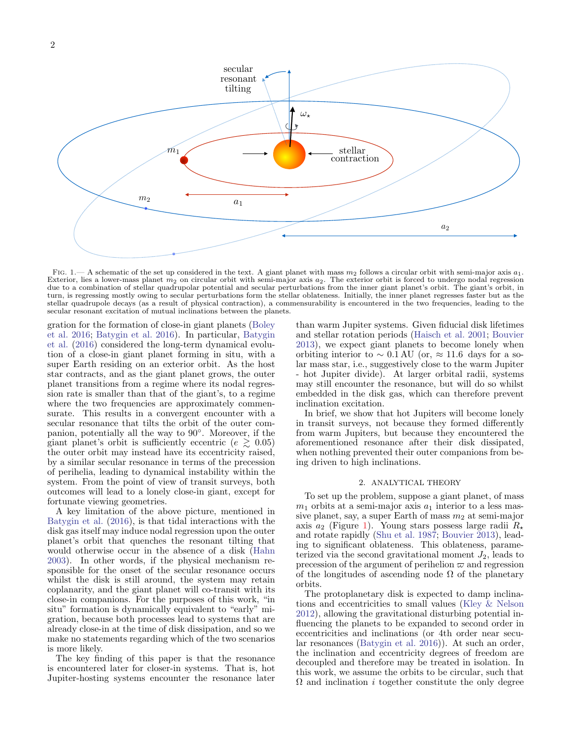

<span id="page-1-0"></span>FIG. 1.— A schematic of the set up considered in the text. A giant planet with mass  $m_2$  follows a circular orbit with semi-major axis  $a_1$ . Exterior, lies a lower-mass planet  $m_2$  on circular orbit with semi-major axis  $a_2$ . The exterior orbit is forced to undergo nodal regression due to a combination of stellar quadrupolar potential and secular perturbations from the inner giant planet's orbit. The giant's orbit, in turn, is regressing mostly owing to secular perturbations form the stellar oblateness. Initially, the inner planet regresses faster but as the stellar quadrupole decays (as a result of physical contraction), a commensurability is encountered in the two frequencies, leading to the secular resonant excitation of mutual inclinations between the planets.

gration for the formation of close-in giant planets [\(Boley](#page-7-10) [et al.](#page-7-10) [2016;](#page-7-10) [Batygin et al.](#page-7-11) [2016\)](#page-7-11). In particular, [Batygin](#page-7-11) [et al.](#page-7-11) [\(2016\)](#page-7-11) considered the long-term dynamical evolution of a close-in giant planet forming in situ, with a super Earth residing on an exterior orbit. As the host star contracts, and as the giant planet grows, the outer planet transitions from a regime where its nodal regression rate is smaller than that of the giant's, to a regime where the two frequencies are approximately commensurate. This results in a convergent encounter with a secular resonance that tilts the orbit of the outer companion, potentially all the way to 90◦ . Moreover, if the giant planet's orbit is sufficiently eccentric ( $e \geq 0.05$ ) the outer orbit may instead have its eccentricity raised, by a similar secular resonance in terms of the precession of perihelia, leading to dynamical instability within the system. From the point of view of transit surveys, both outcomes will lead to a lonely close-in giant, except for fortunate viewing geometries.

A key limitation of the above picture, mentioned in [Batygin et al.](#page-7-11) [\(2016\)](#page-7-11), is that tidal interactions with the disk gas itself may induce nodal regression upon the outer planet's orbit that quenches the resonant tilting that would otherwise occur in the absence of a disk [\(Hahn](#page-7-12) [2003\)](#page-7-12). In other words, if the physical mechanism responsible for the onset of the secular resonance occurs whilst the disk is still around, the system may retain coplanarity, and the giant planet will co-transit with its close-in companions. For the purposes of this work, "in situ" formation is dynamically equivalent to "early" migration, because both processes lead to systems that are already close-in at the time of disk dissipation, and so we make no statements regarding which of the two scenarios is more likely.

The key finding of this paper is that the resonance is encountered later for closer-in systems. That is, hot Jupiter-hosting systems encounter the resonance later than warm Jupiter systems. Given fiducial disk lifetimes and stellar rotation periods [\(Haisch et al.](#page-7-13) [2001;](#page-7-13) [Bouvier](#page-7-14) [2013\)](#page-7-14), we expect giant planets to become lonely when orbiting interior to  $\sim 0.1 \text{ AU}$  (or, ≈ 11.6 days for a solar mass star, i.e., suggestively close to the warm Jupiter - hot Jupiter divide). At larger orbital radii, systems may still encounter the resonance, but will do so whilst embedded in the disk gas, which can therefore prevent inclination excitation.

In brief, we show that hot Jupiters will become lonely in transit surveys, not because they formed differently from warm Jupiters, but because they encountered the aforementioned resonance after their disk dissipated, when nothing prevented their outer companions from being driven to high inclinations.

## 2. ANALYTICAL THEORY

To set up the problem, suppose a giant planet, of mass  $m_1$  orbits at a semi-major axis  $a_1$  interior to a less massive planet, say, a super Earth of mass  $m_2$  at semi-major axis  $a_2$  (Figure [1\)](#page-1-0). Young stars possess large radii  $R_{\star}$ and rotate rapidly [\(Shu et al.](#page-8-4) [1987;](#page-8-4) [Bouvier](#page-7-14) [2013\)](#page-7-14), leading to significant oblateness. This oblateness, parameterized via the second gravitational moment  $J_2$ , leads to precession of the argument of perihelion  $\varpi$  and regression of the longitudes of ascending node  $\Omega$  of the planetary orbits.

The protoplanetary disk is expected to damp inclinations and eccentricities to small values [\(Kley & Nelson](#page-7-4) [2012\)](#page-7-4), allowing the gravitational disturbing potential influencing the planets to be expanded to second order in eccentricities and inclinations (or 4th order near secular resonances [\(Batygin et al.](#page-7-11) [2016\)](#page-7-11)). At such an order, the inclination and eccentricity degrees of freedom are decoupled and therefore may be treated in isolation. In this work, we assume the orbits to be circular, such that  $\Omega$  and inclination *i* together constitute the only degree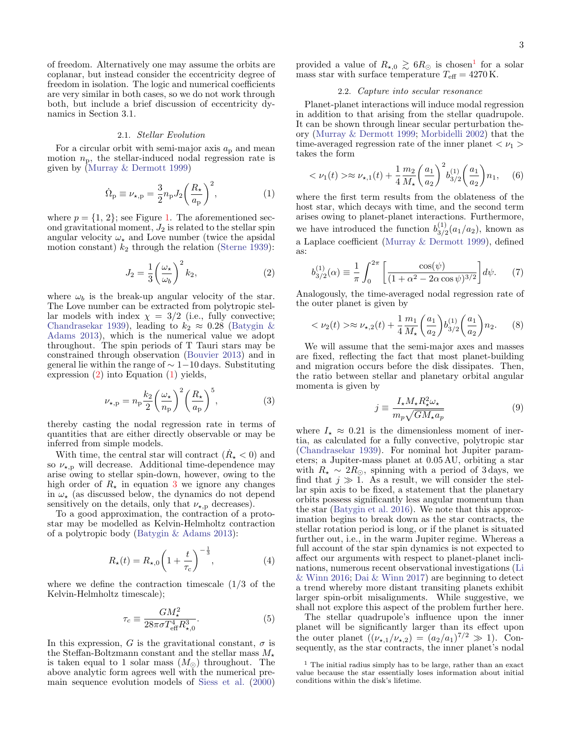of freedom. Alternatively one may assume the orbits are coplanar, but instead consider the eccentricity degree of freedom in isolation. The logic and numerical coefficients are very similar in both cases, so we do not work through both, but include a brief discussion of eccentricity dynamics in Section 3.1.

#### 2.1. Stellar Evolution

For a circular orbit with semi-major axis  $a<sub>p</sub>$  and mean motion  $n_p$ , the stellar-induced nodal regression rate is given by [\(Murray & Dermott](#page-7-15) [1999\)](#page-7-15)

$$
\dot{\Omega}_{\rm p} \equiv \nu_{\star, \rm p} = \frac{3}{2} n_{\rm p} J_2 \left( \frac{R_{\star}}{a_{\rm p}} \right)^2, \tag{1}
$$

where  $p = \{1, 2\}$ ; see Figure [1.](#page-1-0) The aforementioned second gravitational moment,  $J_2$  is related to the stellar spin angular velocity  $\omega_{\star}$  and Love number (twice the apsidal motion constant)  $k_2$  through the relation [\(Sterne](#page-8-5) [1939\)](#page-8-5):

$$
J_2 = \frac{1}{3} \left( \frac{\omega_\star}{\omega_b} \right)^2 k_2,\tag{2}
$$

where  $\omega_b$  is the break-up angular velocity of the star. The Love number can be extracted from polytropic stellar models with index  $\chi = 3/2$  (i.e., fully convective; [Chandrasekar](#page-7-16) [1939\)](#page-7-16), leading to  $k_2 \approx 0.28$  [\(Batygin &](#page-7-17) [Adams](#page-7-17) [2013\)](#page-7-17), which is the numerical value we adopt throughout. The spin periods of T Tauri stars may be constrained through observation [\(Bouvier](#page-7-14) [2013\)](#page-7-14) and in general lie within the range of  $\sim 1-10 \,\text{days}$ . Substituting expression [\(2\)](#page-2-0) into Equation [\(1\)](#page-2-1) yields,

$$
\nu_{\star,p} = n_{\rm p} \frac{k_2}{2} \left(\frac{\omega_{\star}}{n_{\rm p}}\right)^2 \left(\frac{R_{\star}}{a_{\rm p}}\right)^5,\tag{3}
$$

thereby casting the nodal regression rate in terms of quantities that are either directly observable or may be inferred from simple models.

With time, the central star will contract  $(\dot{R}_{\star} < 0)$  and so  $\nu_{\star,p}$  will decrease. Additional time-dependence may arise owing to stellar spin-down, however, owing to the high order of  $R_{\star}$  in equation [3](#page-2-2) we ignore any changes in  $\omega_{\star}$  (as discussed below, the dynamics do not depend sensitively on the details, only that  $\nu_{\star,p}$  decreases).

To a good approximation, the contraction of a protostar may be modelled as Kelvin-Helmholtz contraction of a polytropic body [\(Batygin & Adams](#page-7-17) [2013\)](#page-7-17):

$$
R_{\star}(t) = R_{\star,0} \left( 1 + \frac{t}{\tau_{\rm c}} \right)^{-\frac{1}{3}},\tag{4}
$$

where we define the contraction timescale  $(1/3)$  of the Kelvin-Helmholtz timescale);

$$
\tau_c \equiv \frac{GM_\star^2}{28\pi\sigma T_{\text{eff}}^4 R_{\star,0}^3}.\tag{5}
$$

In this expression, G is the gravitational constant,  $\sigma$  is the Steffan-Boltzmann constant and the stellar mass  $M_{\star}$ is taken equal to 1 solar mass  $(M_{\odot})$  throughout. The above analytic form agrees well with the numerical premain sequence evolution models of [Siess et al.](#page-8-6) [\(2000\)](#page-8-6)

provided a value of  $R_{\star,0} \gtrsim 6R_{\odot}$  is chosen<sup>[1](#page-2-3)</sup> for a solar mass star with surface temperature  $T_{\text{eff}} = 4270 \text{ K}.$ 

# <span id="page-2-5"></span>2.2. Capture into secular resonance

Planet-planet interactions will induce modal regression in addition to that arising from the stellar quadrupole. It can be shown through linear secular perturbation theory [\(Murray & Dermott](#page-7-15) [1999;](#page-7-15) [Morbidelli](#page-7-18) [2002\)](#page-7-18) that the time-averaged regression rate of the inner planet  $\langle \nu_1 \rangle$ takes the form

$$
\langle \nu_1(t) \rangle \approx \nu_{\star,1}(t) + \frac{1}{4} \frac{m_2}{M_{\star}} \left(\frac{a_1}{a_2}\right)^2 b_{3/2}^{(1)} \left(\frac{a_1}{a_2}\right) n_1, \quad (6)
$$

<span id="page-2-1"></span>where the first term results from the oblateness of the host star, which decays with time, and the second term arises owing to planet-planet interactions. Furthermore, we have introduced the function  $b_{3/5}^{(1)}$  $\int_{3/2}^{1/2} (a_1/a_2)$ , known as a Laplace coefficient [\(Murray & Dermott](#page-7-15) [1999\)](#page-7-15), defined as:

$$
b_{3/2}^{(1)}(\alpha) \equiv \frac{1}{\pi} \int_0^{2\pi} \left[ \frac{\cos(\psi)}{(1 + \alpha^2 - 2\alpha \cos \psi)^{3/2}} \right] d\psi. \tag{7}
$$

<span id="page-2-0"></span>Analogously, the time-averaged nodal regression rate of the outer planet is given by

$$
\langle \nu_2(t) \rangle \approx \nu_{\star,2}(t) + \frac{1}{4} \frac{m_1}{M_{\star}} \left( \frac{a_1}{a_2} \right) b_{3/2}^{(1)} \left( \frac{a_1}{a_2} \right) n_2. \tag{8}
$$

We will assume that the semi-major axes and masses are fixed, reflecting the fact that most planet-building and migration occurs before the disk dissipates. Then, the ratio between stellar and planetary orbital angular momenta is given by

<span id="page-2-6"></span>
$$
j \equiv \frac{I_{\star} M_{\star} R_{\star}^2 \omega_{\star}}{m_p \sqrt{GM_{\star} a_p}} \tag{9}
$$

<span id="page-2-2"></span>where  $I_{\star} \approx 0.21$  is the dimensionless moment of inertia, as calculated for a fully convective, polytropic star [\(Chandrasekar](#page-7-16) [1939\)](#page-7-16). For nominal hot Jupiter parameters; a Jupiter-mass planet at 0.05 AU, orbiting a star with  $R_{\star} \sim 2R_{\odot}$ , spinning with a period of 3 days, we find that  $j \gg \tilde{1}$ . As a result, we will consider the stellar spin axis to be fixed, a statement that the planetary orbits possess significantly less angular momentum than the star [\(Batygin et al.](#page-7-11) [2016\)](#page-7-11). We note that this approximation begins to break down as the star contracts, the stellar rotation period is long, or if the planet is situated further out, i.e., in the warm Jupiter regime. Whereas a full account of the star spin dynamics is not expected to affect our arguments with respect to planet-planet inclinations, numerous recent observational investigations [\(Li](#page-7-19) [& Winn](#page-7-19) [2016;](#page-7-19) [Dai & Winn](#page-7-20) [2017\)](#page-7-20) are beginning to detect a trend whereby more distant transiting planets exhibit larger spin-orbit misalignments. While suggestive, we shall not explore this aspect of the problem further here.

<span id="page-2-4"></span>The stellar quadrupole's influence upon the inner planet will be significantly larger than its effect upon the outer planet  $((\nu_{\star,1}/\nu_{\star,2}) = (a_2/a_1)^{7/2} \gg 1)$ . Consequently, as the star contracts, the inner planet's nodal

<span id="page-2-3"></span> $^{\rm 1}$  The initial radius simply has to be large, rather than an exact value because the star essentially loses information about initial conditions within the disk's lifetime.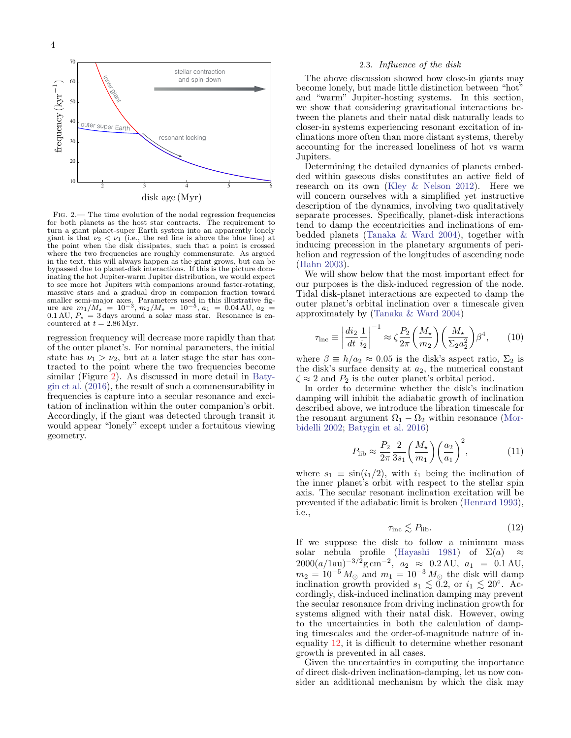

<span id="page-3-0"></span>Fig. 2.— The time evolution of the nodal regression frequencies for both planets as the host star contracts. The requirement to turn a giant planet-super Earth system into an apparently lonely giant is that  $\nu_2 < \nu_1$  (i.e., the red line is above the blue line) at the point when the disk dissipates, such that a point is crossed where the two frequencies are roughly commensurate. As argued in the text, this will always happen as the giant grows, but can be bypassed due to planet-disk interactions. If this is the picture dominating the hot Jupiter-warm Jupiter distribution, we would expect to see more hot Jupiters with companions around faster-rotating, massive stars and a gradual drop in companion fraction toward smaller semi-major axes. Parameters used in this illustrative fig-<br>ure are  $m_1/M_{\star} = 10^{-3}$ ,  $m_2/M_{\star} = 10^{-5}$ ,  $a_1 = 0.04 \text{ AU}$ ,  $a_2 =$ 0.1 AU,  $P_{\star} = 3$  days around a solar mass star. Resonance is encountered at  $t = 2.86$  Myr.

regression frequency will decrease more rapidly than that of the outer planet's. For nominal parameters, the initial state has  $\nu_1 > \nu_2$ , but at a later stage the star has contracted to the point where the two frequencies become similar (Figure [2\)](#page-3-0). As discussed in more detail in [Baty](#page-7-11)[gin et al.](#page-7-11) [\(2016\)](#page-7-11), the result of such a commensurability in frequencies is capture into a secular resonance and excitation of inclination within the outer companion's orbit. Accordingly, if the giant was detected through transit it would appear "lonely" except under a fortuitous viewing geometry.

#### 2.3. Influence of the disk

The above discussion showed how close-in giants may become lonely, but made little distinction between "hot" and "warm" Jupiter-hosting systems. In this section, we show that considering gravitational interactions between the planets and their natal disk naturally leads to closer-in systems experiencing resonant excitation of inclinations more often than more distant systems, thereby accounting for the increased loneliness of hot vs warm Jupiters.

Determining the detailed dynamics of planets embedded within gaseous disks constitutes an active field of research on its own [\(Kley & Nelson](#page-7-4) [2012\)](#page-7-4). Here we will concern ourselves with a simplified yet instructive description of the dynamics, involving two qualitatively separate processes. Specifically, planet-disk interactions tend to damp the eccentricities and inclinations of embedded planets [\(Tanaka & Ward](#page-8-7) [2004\)](#page-8-7), together with inducing precession in the planetary arguments of perihelion and regression of the longitudes of ascending node [\(Hahn](#page-7-12) [2003\)](#page-7-12).

We will show below that the most important effect for our purposes is the disk-induced regression of the node. Tidal disk-planet interactions are expected to damp the outer planet's orbital inclination over a timescale given approximately by [\(Tanaka & Ward](#page-8-7) [2004\)](#page-8-7)

$$
\tau_{\rm inc} \equiv \left| \frac{di_2}{dt} \frac{1}{i_2} \right|^{-1} \approx \zeta \frac{P_2}{2\pi} \left( \frac{M_\star}{m_2} \right) \left( \frac{M_\star}{\Sigma_2 a_2^2} \right) \beta^4, \qquad (10)
$$

where  $\beta \equiv h/a_2 \approx 0.05$  is the disk's aspect ratio,  $\Sigma_2$  is the disk's surface density at  $a_2$ , the numerical constant  $\zeta \approx 2$  and  $P_2$  is the outer planet's orbital period.

In order to determine whether the disk's inclination damping will inhibit the adiabatic growth of inclination described above, we introduce the libration timescale for the resonant argument  $\Omega_1 - \Omega_2$  within resonance [\(Mor](#page-7-18)[bidelli](#page-7-18) [2002;](#page-7-18) [Batygin et al.](#page-7-11) [2016\)](#page-7-11)

$$
P_{\text{lib}} \approx \frac{P_2}{2\pi} \frac{2}{3s_1} \left(\frac{M_\star}{m_1}\right) \left(\frac{a_2}{a_1}\right)^2,\tag{11}
$$

where  $s_1 \equiv \sin(i_1/2)$ , with  $i_1$  being the inclination of the inner planet's orbit with respect to the stellar spin axis. The secular resonant inclination excitation will be prevented if the adiabatic limit is broken [\(Henrard](#page-7-21) [1993\)](#page-7-21), i.e.,

<span id="page-3-1"></span>
$$
\tau_{\rm inc} \lesssim P_{\rm lib}.\tag{12}
$$

If we suppose the disk to follow a minimum mass solar nebula profile [\(Hayashi](#page-7-22) [1981\)](#page-7-22) of  $\Sigma(a) \approx$  $2000(a/1au)^{-3/2}$ g cm<sup>-2</sup>,  $a_2 \approx 0.2$  AU,  $a_1 = 0.1$  AU,  $m_2 = 10^{-5} M_{\odot}$  and  $m_1 = 10^{-3} M_{\odot}$  the disk will damp inclination growth provided  $s_1 \lesssim 0.2$ , or  $i_1 \lesssim 20^\circ$ . Accordingly, disk-induced inclination damping may prevent the secular resonance from driving inclination growth for systems aligned with their natal disk. However, owing to the uncertainties in both the calculation of damping timescales and the order-of-magnitude nature of inequality [12,](#page-3-1) it is difficult to determine whether resonant growth is prevented in all cases.

Given the uncertainties in computing the importance of direct disk-driven inclination-damping, let us now consider an additional mechanism by which the disk may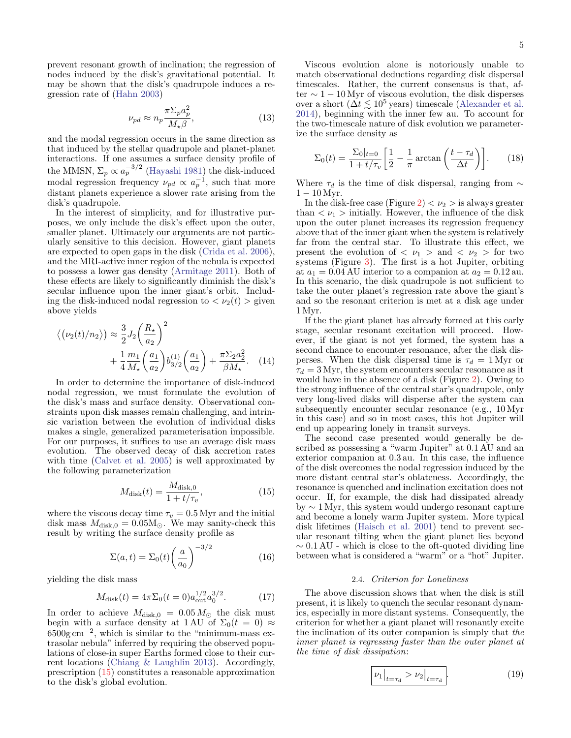prevent resonant growth of inclination; the regression of nodes induced by the disk's gravitational potential. It may be shown that the disk's quadrupole induces a regression rate of [\(Hahn](#page-7-12) [2003\)](#page-7-12)

$$
\nu_{pd} \approx n_p \frac{\pi \Sigma_p a_p^2}{M_\star \beta},\tag{13}
$$

and the modal regression occurs in the same direction as that induced by the stellar quadrupole and planet-planet interactions. If one assumes a surface density profile of the MMSN,  $\Sigma_p \propto a_p^{-3/2}$  [\(Hayashi](#page-7-22) [1981\)](#page-7-22) the disk-induced modal regression frequency  $\nu_{pd} \propto a_p^{-1}$ , such that more distant planets experience a slower rate arising from the disk's quadrupole.

In the interest of simplicity, and for illustrative purposes, we only include the disk's effect upon the outer, smaller planet. Ultimately our arguments are not particularly sensitive to this decision. However, giant planets are expected to open gaps in the disk [\(Crida et al.](#page-7-23) [2006\)](#page-7-23), and the MRI-active inner region of the nebula is expected to possess a lower gas density [\(Armitage](#page-7-24) [2011\)](#page-7-24). Both of these effects are likely to significantly diminish the disk's secular influence upon the inner giant's orbit. Including the disk-induced nodal regression to  $\langle \nu_2(t) \rangle$  given above yields

$$
\langle (\nu_2(t)/n_2 \rangle) \approx \frac{3}{2} J_2 \left( \frac{R_\star}{a_2} \right)^2
$$
  
 
$$
+ \frac{1}{4} \frac{m_1}{M_\star} \left( \frac{a_1}{a_2} \right) b_{3/2}^{(1)} \left( \frac{a_1}{a_2} \right) + \frac{\pi \Sigma_2 a_2^2}{\beta M_\star}.
$$
 (14)

In order to determine the importance of disk-induced nodal regression, we must formulate the evolution of the disk's mass and surface density. Observational constraints upon disk masses remain challenging, and intrinsic variation between the evolution of individual disks makes a single, generalized parameterisation impossible. For our purposes, it suffices to use an average disk mass evolution. The observed decay of disk accretion rates with time [\(Calvet et al.](#page-7-25) [2005\)](#page-7-25) is well approximated by the following parameterization

$$
M_{\rm disk}(t) = \frac{M_{\rm disk,0}}{1 + t/\tau_v},\tag{15}
$$

where the viscous decay time  $\tau_v = 0.5$  Myr and the initial disk mass  $M_{\text{disk,0}} = 0.05 M_{\odot}$ . We may sanity-check this result by writing the surface density profile as

$$
\Sigma(a,t) = \Sigma_0(t) \left(\frac{a}{a_0}\right)^{-3/2} \tag{16}
$$

yielding the disk mass

$$
M_{\text{disk}}(t) = 4\pi \Sigma_0 (t=0) a_{\text{out}}^{1/2} a_0^{3/2}.
$$
 (17)

In order to achieve  $M_{\text{disk},0} = 0.05 M_{\odot}$  the disk must begin with a surface density at 1 AU of  $\Sigma_0(t = 0) \approx$  $6500g \text{ cm}^{-2}$ , which is similar to the "minimum-mass extrasolar nebula" inferred by requiring the observed populations of close-in super Earths formed close to their current locations [\(Chiang & Laughlin](#page-7-26) [2013\)](#page-7-26). Accordingly, prescription [\(15\)](#page-4-0) constitutes a reasonable approximation to the disk's global evolution.

Viscous evolution alone is notoriously unable to match observational deductions regarding disk dispersal timescales. Rather, the current consensus is that, after  $\sim$  1 – 10 Myr of viscous evolution, the disk disperses over a short ( $\Delta t \lesssim 10^5$  years) timescale [\(Alexander et al.](#page-7-27) [2014\)](#page-7-27), beginning with the inner few au. To account for the two-timescale nature of disk evolution we parameterize the surface density as

$$
\Sigma_0(t) = \frac{\Sigma_0|_{t=0}}{1 + t/\tau_v} \left[ \frac{1}{2} - \frac{1}{\pi} \arctan\left(\frac{t - \tau_d}{\Delta t}\right) \right].
$$
 (18)

Where  $\tau_d$  is the time of disk dispersal, ranging from  $\sim$  $1 - 10 \,\mathrm{Myr}$ .

In the disk-free case (Figure [2\)](#page-3-0)  $\langle \nu_2 \rangle$  is always greater than  $\langle \nu_1 \rangle$  initially. However, the influence of the disk upon the outer planet increases its regression frequency above that of the inner giant when the system is relatively far from the central star. To illustrate this effect, we present the evolution of  $\langle \nu_1 \rangle$  and  $\langle \nu_2 \rangle$  for two systems (Figure [3\)](#page-5-0). The first is a hot Jupiter, orbiting at  $a_1 = 0.04 \text{ AU}$  interior to a companion at  $a_2 = 0.12 \text{ au}$ . In this scenario, the disk quadrupole is not sufficient to take the outer planet's regression rate above the giant's and so the resonant criterion is met at a disk age under 1 Myr.

If the the giant planet has already formed at this early stage, secular resonant excitation will proceed. However, if the giant is not yet formed, the system has a second chance to encounter resonance, after the disk disperses. When the disk dispersal time is  $\tau_d = 1$  Myr or  $\tau_d = 3$  Myr, the system encounters secular resonance as it would have in the absence of a disk (Figure [2\)](#page-3-0). Owing to the strong influence of the central star's quadrupole, only very long-lived disks will disperse after the system can subsequently encounter secular resonance (e.g., 10 Myr in this case) and so in most cases, this hot Jupiter will end up appearing lonely in transit surveys.

<span id="page-4-0"></span>The second case presented would generally be described as possessing a "warm Jupiter" at 0.1 AU and an exterior companion at 0.3 au. In this case, the influence of the disk overcomes the nodal regression induced by the more distant central star's oblateness. Accordingly, the resonance is quenched and inclination excitation does not occur. If, for example, the disk had dissipated already by ∼ 1 Myr, this system would undergo resonant capture and become a lonely warm Jupiter system. More typical disk lifetimes [\(Haisch et al.](#page-7-13) [2001\)](#page-7-13) tend to prevent secular resonant tilting when the giant planet lies beyond  $\sim 0.1 \text{ AU}$  - which is close to the oft-quoted dividing line between what is considered a "warm" or a "hot" Jupiter.

## 2.4. Criterion for Loneliness

The above discussion shows that when the disk is still present, it is likely to quench the secular resonant dynamics, especially in more distant systems. Consequently, the criterion for whether a giant planet will resonantly excite the inclination of its outer companion is simply that the inner planet is regressing faster than the outer planet at the time of disk dissipation:

$$
|\nu_1|_{t=\tau_{\rm d}} > \nu_2|_{t=\tau_{\rm d}}.\tag{19}
$$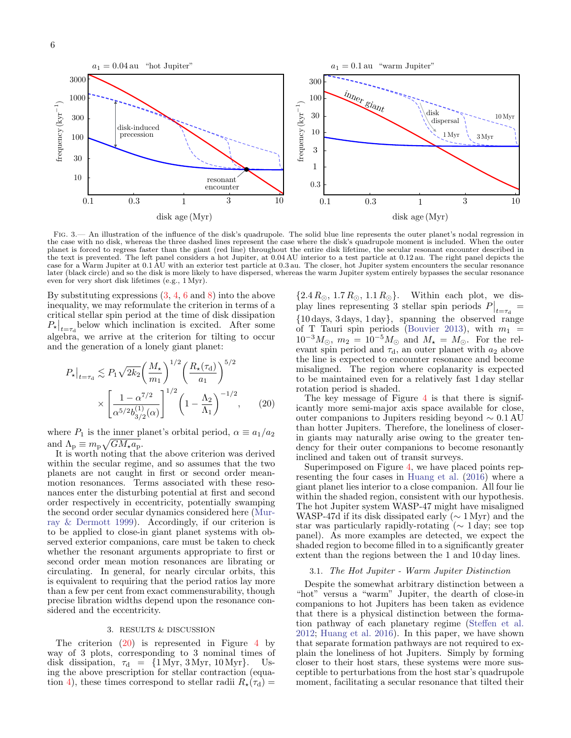P?



<span id="page-5-0"></span>Fig. 3.— An illustration of the influence of the disk's quadrupole. The solid blue line represents the outer planet's nodal regression in the case with no disk, whereas the three dashed lines represent the case where the disk's quadrupole moment is included. When the outer planet is forced to regress faster than the giant (red line) throughout the entire disk lifetime, the secular resonant encounter described in the text is prevented. The left panel considers a hot Jupiter, at 0.04 AU interior to a test particle at 0.12 au. The right panel depicts the case for a Warm Jupiter at 0.1 AU with an exterior test particle at 0.3 au. The closer, hot Jupiter system encounters the secular resonance later (black circle) and so the disk is more likely to have dispersed, whereas the warm Jupiter system entirely bypasses the secular resonance even for very short disk lifetimes (e.g., 1 Myr).

By substituting expressions [\(3,](#page-2-2) [4,](#page-2-4) [6](#page-2-5) and [8\)](#page-2-6) into the above inequality, we may reformulate the criterion in terms of a critical stellar spin period at the time of disk dissipation  $P_{\star}|_{t=\tau_{\rm d}}$  below which inclination is excited. After some algebra, we arrive at the criterion for tilting to occur and the generation of a lonely giant planet:

$$
P_{\star}|_{t=\tau_{\rm d}} \lesssim P_1 \sqrt{2k_2} \left(\frac{M_{\star}}{m_1}\right)^{1/2} \left(\frac{R_{\star}(\tau_{\rm d})}{a_1}\right)^{5/2} \times \left[\frac{1-\alpha^{7/2}}{\alpha^{5/2}b_{3/2}^{(1)}(\alpha)}\right]^{1/2} \left(1-\frac{\Lambda_2}{\Lambda_1}\right)^{-1/2},\qquad(20)
$$

where  $P_1$  is the inner planet's orbital period,  $\alpha \equiv a_1/a_2$ and  $\Lambda_{\rm p} \equiv m_{\rm p} \sqrt{GM_{\star}a_{\rm p}}$ .

It is worth noting that the above criterion was derived within the secular regime, and so assumes that the two planets are not caught in first or second order meanmotion resonances. Terms associated with these resonances enter the disturbing potential at first and second order respectively in eccentricity, potentially swamping the second order secular dynamics considered here [\(Mur](#page-7-15)[ray & Dermott](#page-7-15) [1999\)](#page-7-15). Accordingly, if our criterion is to be applied to close-in giant planet systems with observed exterior companions, care must be taken to check whether the resonant arguments appropriate to first or second order mean motion resonances are librating or circulating. In general, for nearly circular orbits, this is equivalent to requiring that the period ratios lay more than a few per cent from exact commensurability, though precise libration widths depend upon the resonance considered and the eccentricity.

## 3. RESULTS & DISCUSSION

The criterion  $(20)$  is represented in Figure [4](#page-6-0) by way of 3 plots, corresponding to 3 nominal times of disk dissipation,  $\tau_d = \{1 \text{ Myr}, 3 \text{ Myr}, 10 \text{ Myr}\}\$ . Using the above prescription for stellar contraction (equa-tion [4\)](#page-2-4), these times correspond to stellar radii  $R_{\star}(\tau_{d}) =$ 

 $\{2.4 R_{\odot}, 1.7 R_{\odot}, 1.1 R_{\odot}\}.$  Within each plot, we display lines representing 3 stellar spin periods  $P|_{t=\tau_d} =$ {10 days, 3 days, 1 day}, spanning the observed range of T Tauri spin periods [\(Bouvier](#page-7-14) [2013\)](#page-7-14), with  $m_1 =$  $10^{-3}M_{\odot}$ ,  $m_2 = 10^{-5}M_{\odot}$  and  $M_{\star} = M_{\odot}$ . For the relevant spin period and  $\tau_{d}$ , an outer planet with  $a_2$  above the line is expected to encounter resonance and become misaligned. The region where coplanarity is expected to be maintained even for a relatively fast 1 day stellar rotation period is shaded.

<span id="page-5-1"></span>The key message of Figure  $4$  is that there is significantly more semi-major axis space available for close, outer companions to Jupiters residing beyond ∼ 0.1 AU than hotter Jupiters. Therefore, the loneliness of closerin giants may naturally arise owing to the greater tendency for their outer companions to become resonantly inclined and taken out of transit surveys.

Superimposed on Figure [4,](#page-6-0) we have placed points representing the four cases in [Huang et al.](#page-7-6) [\(2016\)](#page-7-6) where a giant planet lies interior to a close companion. All four lie within the shaded region, consistent with our hypothesis. The hot Jupiter system WASP-47 might have misaligned WASP-47d if its disk dissipated early ( $\sim 1$  Myr) and the star was particularly rapidly-rotating ( $\sim 1$  day; see top panel). As more examples are detected, we expect the shaded region to become filled in to a significantly greater extent than the regions between the 1 and 10 day lines.

## 3.1. The Hot Jupiter - Warm Jupiter Distinction

Despite the somewhat arbitrary distinction between a "hot" versus a "warm" Jupiter, the dearth of close-in companions to hot Jupiters has been taken as evidence that there is a physical distinction between the formation pathway of each planetary regime [\(Steffen et al.](#page-8-2) [2012;](#page-8-2) [Huang et al.](#page-7-6) [2016\)](#page-7-6). In this paper, we have shown that separate formation pathways are not required to explain the loneliness of hot Jupiters. Simply by forming closer to their host stars, these systems were more susceptible to perturbations from the host star's quadrupole moment, facilitating a secular resonance that tilted their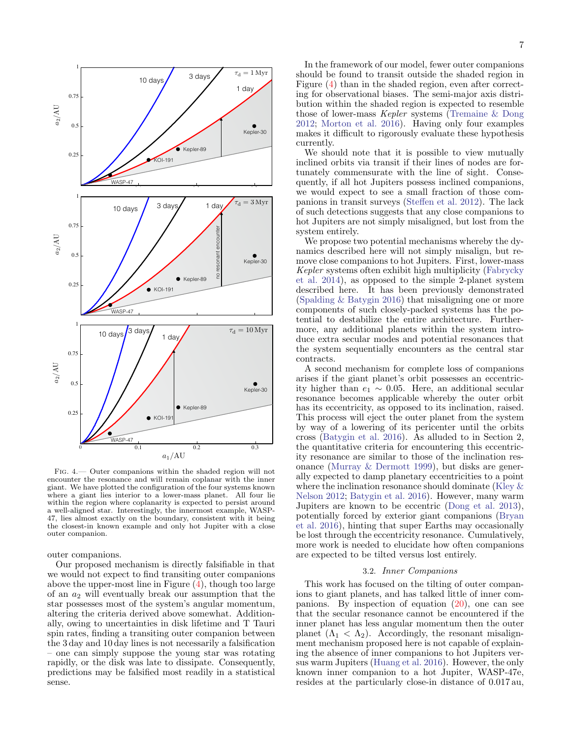

<span id="page-6-0"></span>Fig. 4.— Outer companions within the shaded region will not encounter the resonance and will remain coplanar with the inner giant. We have plotted the configuration of the four systems known where a giant lies interior to a lower-mass planet. All four lie within the region where coplanarity is expected to persist around a well-aligned star. Interestingly, the innermost example, WASP-47, lies almost exactly on the boundary, consistent with it being the closest-in known example and only hot Jupiter with a close outer companion.

outer companions.

Our proposed mechanism is directly falsifiable in that we would not expect to find transiting outer companions above the upper-most line in Figure [\(4\)](#page-6-0), though too large of an  $a_2$  will eventually break our assumption that the star possesses most of the system's angular momentum, altering the criteria derived above somewhat. Additionally, owing to uncertainties in disk lifetime and T Tauri spin rates, finding a transiting outer companion between the 3 day and 10 day lines is not necessarily a falsification – one can simply suppose the young star was rotating rapidly, or the disk was late to dissipate. Consequently, predictions may be falsified most readily in a statistical sense.

In the framework of our model, fewer outer companions should be found to transit outside the shaded region in Figure [\(4\)](#page-6-0) than in the shaded region, even after correcting for observational biases. The semi-major axis distribution within the shaded region is expected to resemble those of lower-mass Kepler systems [\(Tremaine & Dong](#page-8-8) [2012;](#page-8-8) [Morton et al.](#page-7-28) [2016\)](#page-7-28). Having only four examples makes it difficult to rigorously evaluate these hypothesis currently.

We should note that it is possible to view mutually inclined orbits via transit if their lines of nodes are fortunately commensurate with the line of sight. Consequently, if all hot Jupiters possess inclined companions, we would expect to see a small fraction of those companions in transit surveys [\(Steffen et al.](#page-8-2) [2012\)](#page-8-2). The lack of such detections suggests that any close companions to hot Jupiters are not simply misaligned, but lost from the system entirely.

We propose two potential mechanisms whereby the dynamics described here will not simply misalign, but remove close companions to hot Jupiters. First, lower-mass Kepler systems often exhibit high multiplicity [\(Fabrycky](#page-7-29) [et al.](#page-7-29) [2014\)](#page-7-29), as opposed to the simple 2-planet system described here. It has been previously demonstrated [\(Spalding & Batygin](#page-8-9) [2016\)](#page-8-9) that misaligning one or more components of such closely-packed systems has the potential to destabilize the entire architecture. Furthermore, any additional planets within the system introduce extra secular modes and potential resonances that the system sequentially encounters as the central star contracts.

A second mechanism for complete loss of companions arises if the giant planet's orbit possesses an eccentricity higher than  $e_1 \sim 0.05$ . Here, an additional secular resonance becomes applicable whereby the outer orbit has its eccentricity, as opposed to its inclination, raised. This process will eject the outer planet from the system by way of a lowering of its pericenter until the orbits cross [\(Batygin et al.](#page-7-11) [2016\)](#page-7-11). As alluded to in Section 2, the quantitative criteria for encountering this eccentricity resonance are similar to those of the inclination resonance [\(Murray & Dermott](#page-7-15) [1999\)](#page-7-15), but disks are generally expected to damp planetary eccentricities to a point where the inclination resonance should dominate [\(Kley &](#page-7-4) [Nelson](#page-7-4) [2012;](#page-7-4) [Batygin et al.](#page-7-11) [2016\)](#page-7-11). However, many warm Jupiters are known to be eccentric [\(Dong et al.](#page-7-7) [2013\)](#page-7-7), potentially forced by exterior giant companions [\(Bryan](#page-7-30) [et al.](#page-7-30) [2016\)](#page-7-30), hinting that super Earths may occasionally be lost through the eccentricity resonance. Cumulatively, more work is needed to elucidate how often companions are expected to be tilted versus lost entirely.

## 3.2. Inner Companions

This work has focused on the tilting of outer companions to giant planets, and has talked little of inner companions. By inspection of equation [\(20\)](#page-5-1), one can see that the secular resonance cannot be encountered if the inner planet has less angular momentum then the outer planet  $(\Lambda_1 < \Lambda_2)$ . Accordingly, the resonant misalignment mechanism proposed here is not capable of explaining the absence of inner companions to hot Jupiters versus warm Jupiters [\(Huang et al.](#page-7-6) [2016\)](#page-7-6). However, the only known inner companion to a hot Jupiter, WASP-47e, resides at the particularly close-in distance of 0.017 au,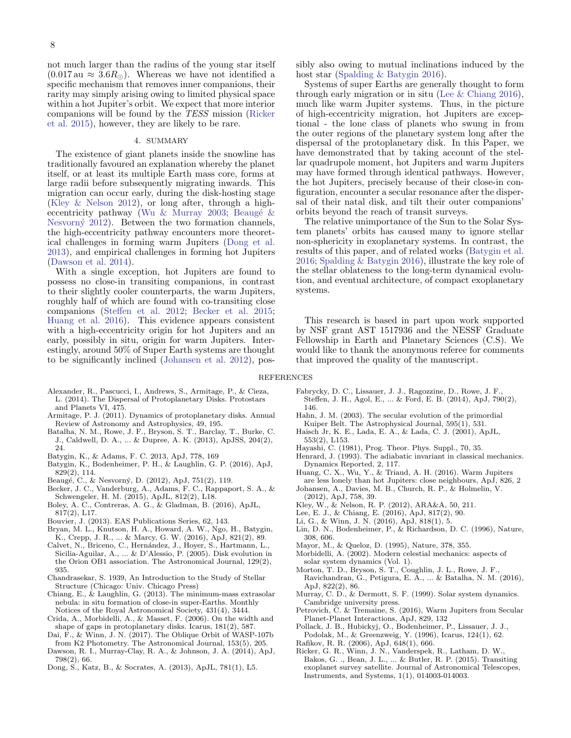not much larger than the radius of the young star itself  $(0.017 \text{ au} \approx 3.6 R_{\odot})$ . Whereas we have not identified a specific mechanism that removes inner companions, their rarity may simply arising owing to limited physical space within a hot Jupiter's orbit. We expect that more interior companions will be found by the TESS mission [\(Ricker](#page-7-31) [et al.](#page-7-31) [2015\)](#page-7-31), however, they are likely to be rare.

## 4. SUMMARY

The existence of giant planets inside the snowline has traditionally favoured an explanation whereby the planet itself, or at least its multiple Earth mass core, forms at large radii before subsequently migrating inwards. This migration can occur early, during the disk-hosting stage [\(Kley & Nelson](#page-7-4) [2012\)](#page-7-4), or long after, through a higheccentricity pathway (Wu  $\&$  Murray [2003;](#page-8-1) Beaugé  $\&$ Nesvorn $\acute{y}$  [2012\)](#page-7-5). Between the two formation channels, the high-eccentricity pathway encounters more theoretical challenges in forming warm Jupiters [\(Dong et al.](#page-7-7) [2013\)](#page-7-7), and empirical challenges in forming hot Jupiters [\(Dawson et al.](#page-7-32) [2014\)](#page-7-32).

With a single exception, hot Jupiters are found to possess no close-in transiting companions, in contrast to their slightly cooler counterparts, the warm Jupiters, roughly half of which are found with co-transiting close companions [\(Steffen et al.](#page-8-2) [2012;](#page-8-2) [Becker et al.](#page-7-9) [2015;](#page-7-9) [Huang et al.](#page-7-6) [2016\)](#page-7-6). This evidence appears consistent with a high-eccentricity origin for hot Jupiters and an early, possibly in situ, origin for warm Jupiters. Interestingly, around 50% of Super Earth systems are thought to be significantly inclined [\(Johansen et al.](#page-7-33) [2012\)](#page-7-33), pos-

- <span id="page-7-27"></span>Alexander, R., Pascucci, I., Andrews, S., Armitage, P., & Cieza, L. (2014). The Dispersal of Protoplanetary Disks. Protostars
- <span id="page-7-24"></span>and Planets VI, 475. Armitage, P. J. (2011). Dynamics of protoplanetary disks. Annual
- Review of Astronomy and Astrophysics, 49, 195. Batalha, N. M., Rowe, J. F., Bryson, S. T., Barclay, T., Burke, C.
- J., Caldwell, D. A., ... & Dupree, A. K. (2013), ApJSS, 204(2), 24.
- <span id="page-7-17"></span>Batygin, K., & Adams, F. C. 2013, ApJ, 778, 169
- <span id="page-7-11"></span>Batygin, K., Bodenheimer, P. H., & Laughlin, G. P. (2016), ApJ, 829(2), 114.
- <span id="page-7-5"></span>Beaugé, C., & Nesvorný, D. (2012), ApJ, 751(2), 119.
- <span id="page-7-9"></span>Becker, J. C., Vanderburg, A., Adams, F. C., Rappaport, S. A., &
- <span id="page-7-10"></span>Schwengeler, H. M. (2015), ApJL, 812(2), L18. Boley, A. C., Contreras, A. G., & Gladman, B. (2016), ApJL, 817(2), L17.
- <span id="page-7-14"></span>Bouvier, J. (2013). EAS Publications Series, 62, 143.
- <span id="page-7-30"></span>Bryan, M. L., Knutson, H. A., Howard, A. W., Ngo, H., Batygin, K., Crepp, J. R., ... & Marcy, G. W. (2016), ApJ, 821(2), 89.
- <span id="page-7-25"></span>Calvet, N., Briceno, C., Hernández, J., Hoyer, S., Hartmann, L., Sicilia-Aguilar, A., ... & D'Alessio, P. (2005). Disk evolution in the Orion OB1 association. The Astronomical Journal, 129(2), 935.
- <span id="page-7-16"></span>Chandrasekar, S. 1939, An Introduction to the Study of Stellar Structure (Chicago: Univ. Chicago Press)
- <span id="page-7-26"></span>Chiang, E., & Laughlin, G. (2013). The minimum-mass extrasolar nebula: in situ formation of close-in super-Earths. Monthly Notices of the Royal Astronomical Society, 431(4), 3444.
- <span id="page-7-23"></span>Crida, A., Morbidelli, A., & Masset, F. (2006). On the width and shape of gaps in protoplanetary disks. Icarus, 181(2), 587.
- <span id="page-7-20"></span>Dai, F., & Winn, J. N. (2017). The Oblique Orbit of WASP-107b from K2 Photometry. The Astronomical Journal, 153(5), 205.
- <span id="page-7-32"></span>Dawson, R. I., Murray-Clay, R. A., & Johnson, J. A. (2014), ApJ, 798(2), 66.
- <span id="page-7-7"></span>Dong, S., Katz, B., & Socrates, A. (2013), ApJL, 781(1), L5.

sibly also owing to mutual inclinations induced by the host star [\(Spalding & Batygin](#page-8-9) [2016\)](#page-8-9).

Systems of super Earths are generally thought to form through early migration or in situ [\(Lee & Chiang](#page-7-34) [2016\)](#page-7-34), much like warm Jupiter systems. Thus, in the picture of high-eccentricity migration, hot Jupiters are exceptional - the lone class of planets who swung in from the outer regions of the planetary system long after the dispersal of the protoplanetary disk. In this Paper, we have demonstrated that by taking account of the stellar quadrupole moment, hot Jupiters and warm Jupiters may have formed through identical pathways. However, the hot Jupiters, precisely because of their close-in configuration, encounter a secular resonance after the dispersal of their natal disk, and tilt their outer companions' orbits beyond the reach of transit surveys.

The relative unimportance of the Sun to the Solar System planets' orbits has caused many to ignore stellar non-sphericity in exoplanetary systems. In contrast, the results of this paper, and of related works [\(Batygin et al.](#page-7-11) [2016;](#page-7-11) [Spalding & Batygin](#page-8-9) [2016\)](#page-8-9), illustrate the key role of the stellar oblateness to the long-term dynamical evolution, and eventual architecture, of compact exoplanetary systems.

This research is based in part upon work supported by NSF grant AST 1517936 and the NESSF Graduate Fellowship in Earth and Planetary Sciences (C.S). We would like to thank the anonymous referee for comments that improved the quality of the manuscript.

## REFERENCES

- <span id="page-7-29"></span>Fabrycky, D. C., Lissauer, J. J., Ragozzine, D., Rowe, J. F.,
- Steffen, J. H., Agol, E., ... & Ford, E. B. (2014), ApJ, 790(2), 146.
- <span id="page-7-12"></span>Hahn, J. M. (2003). The secular evolution of the primordial Kuiper Belt. The Astrophysical Journal, 595(1), 531.
- <span id="page-7-13"></span>Haisch Jr, K. E., Lada, E. A., & Lada, C. J. (2001), ApJL, 553(2), L153.
- <span id="page-7-22"></span>Hayashi, C. (1981), Prog. Theor. Phys. Suppl., 70, 35.
- <span id="page-7-21"></span>Henrard, J. (1993). The adiabatic invariant in classical mechanics. Dynamics Reported, 2, 117.
- <span id="page-7-6"></span>Huang, C. X., Wu, Y., & Triaud, A. H. (2016). Warm Jupiters are less lonely than hot Jupiters: close neighbours, ApJ, 826, 2
- <span id="page-7-33"></span>Johansen, A., Davies, M. B., Church, R. P., & Holmelin, V. (2012), ApJ, 758, 39.
- <span id="page-7-4"></span>Kley, W., & Nelson, R. P. (2012), ARA&A, 50, 211.
- <span id="page-7-34"></span>Lee, E. J., & Chiang, E. (2016), ApJ, 817(2), 90.
- <span id="page-7-19"></span>Li, G., & Winn, J. N. (2016), ApJ, 818(1), 5.
- <span id="page-7-2"></span>Lin, D. N., Bodenheimer, P., & Richardson, D. C. (1996), Nature,
- <span id="page-7-0"></span>308, 606. Mayor, M., & Queloz, D. (1995), Nature, 378, 355.
- <span id="page-7-18"></span>Morbidelli, A. (2002). Modern celestial mechanics: aspects of
- <span id="page-7-28"></span>solar system dynamics (Vol. 1). Morton, T. D., Bryson, S. T., Coughlin, J. L., Rowe, J. F.,
- Ravichandran, G., Petigura, E. A., ... & Batalha, N. M. (2016), ApJ, 822(2), 86.
- <span id="page-7-15"></span>Murray, C. D., & Dermott, S. F. (1999). Solar system dynamics. Cambridge university press.
- <span id="page-7-8"></span>Petrovich, C. & Tremaine, S. (2016), Warm Jupiters from Secular Planet-Planet Interactions, ApJ, 829, 132
- <span id="page-7-1"></span>Pollack, J. B., Hubickyj, O., Bodenheimer, P., Lissauer, J. J., Podolak, M., & Greenzweig, Y. (1996), Icarus, 124(1), 62.
- <span id="page-7-3"></span>Rafikov, R. R. (2006), ApJ, 648(1), 666.
- <span id="page-7-31"></span>Ricker, G. R., Winn, J. N., Vanderspek, R., Latham, D. W., Bakos, G. ., Bean, J. L., ... & Butler, R. P. (2015). Transiting exoplanet survey satellite. Journal of Astronomical Telescopes, Instruments, and Systems, 1(1), 014003-014003.